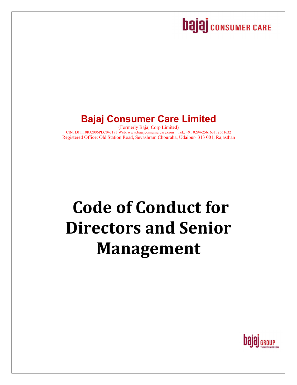## **bajaj** consumer CARE

## **Bajaj Consumer Care Limited**

(Formerly Bajaj Corp Limited) CIN: L01110RJ2006PLC047173 Web: www.bajajconsumercare.com Tel.: +91 0294-2561631, 2561632 Registered Office: Old Station Road, Sevashram Chouraha, Udaipur- 313 001, Rajasthan

# **Code of Conduct for Directors and Senior Management**

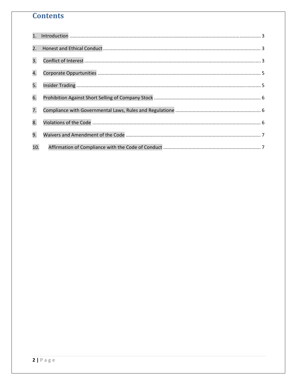## **Contents**

| 1.  |  |
|-----|--|
| 2.  |  |
| 3.  |  |
| 4.  |  |
| 5.  |  |
| 6.  |  |
| 7.  |  |
| 8.  |  |
| 9.  |  |
| 10. |  |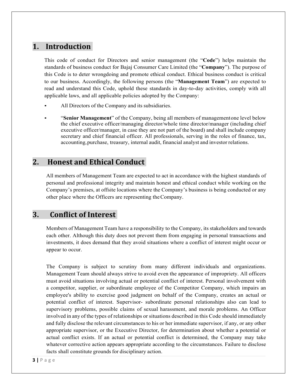#### 1. Introduction

This code of conduct for Directors and senior management (the "**Code**") helps maintain the standards of business conduct for Bajaj Consumer Care Limited (the "**Company**"). The purpose of this Code is to deter wrongdoing and promote ethical conduct. Ethical business conduct is critical to our business. Accordingly, the following persons (the "**Management Team**") are expected to read and understand this Code, uphold these standards in day-to-day activities, comply with all applicable laws, and all applicable policies adopted by the Company:

- All Directors of the Company and its subsidiaries.
- **"Senior Management"** of the Company, being all members of management one level below the chief executive officer/managing director/whole time director/manager (including chief executive officer/manager, in case they are not part of the board) and shall include company secretary and chief financial officer. All professionals, serving in the roles of finance, tax, accounting, purchase, treasury, internal audit, financial analyst and investor relations.

### 2. Honest and Ethical Conduct

All members of Management Team are expected to act in accordance with the highest standards of personal and professional integrity and maintain honest and ethical conduct while working on the Company's premises, at offsite locations where the Company's business is being conducted or any other place where the Officers are representing the Company.

#### **3. Conflict of Interest**

Members of Management Team have a responsibility to the Company, its stakeholders and towards each other. Although this duty does not prevent them from engaging in personal transactions and investments, it does demand that they avoid situations where a conflict of interest might occur or appear to occur.

The Company is subject to scrutiny from many different individuals and organizations. Management Team should always strive to avoid even the appearance of impropriety. All officers must avoid situations involving actual or potential conflict of interest. Personal involvement with a competitor, supplier, or subordinate employee of the Competitor Company, which impairs an employee's ability to exercise good judgment on behalf of the Company, creates an actual or potential conflict of interest. Supervisor- subordinate personal relationships also can lead to supervisory problems, possible claims of sexual harassment, and morale problems. An Officer involved in any of the types of relationships or situations described in this Code should immediately and fully disclose the relevant circumstances to his or her immediate supervisor, if any, or any other appropriate supervisor, or the Executive Director, for determination about whether a potential or actual conflict exists. If an actual or potential conflict is determined, the Company may take whatever corrective action appears appropriate according to the circumstances. Failure to disclose facts shall constitute grounds for disciplinary action.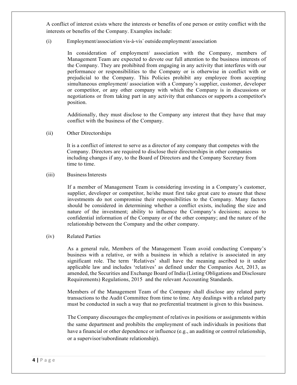A conflict of interest exists where the interests or benefits of one person or entity conflict with the interests or benefits of the Company. Examples include:

(i) Employment/association vis-à-vis` outside employment/ association

In consideration of employment/ association with the Company, members of Management Team are expected to devote our full attention to the business interests of the Company. They are prohibited from engaging in any activity that interferes with our performance or responsibilities to the Company or is otherwise in conflict with or prejudicial to the Company. This Policies prohibit any employee from accepting simultaneous employment/ association with a Company's supplier, customer, developer or competitor, or any other company with which the Company is in discussions or negotiations or from taking part in any activity that enhances or supports a competitor's position.

Additionally, they must disclose to the Company any interest that they have that may conflict with the business of the Company.

(ii) Other Directorships

It is a conflict of interest to serve as a director of any company that competes with the Company. Directors are required to disclose their directorships in other companies including changes if any, to the Board of Directors and the Company Secretary from time to time.

#### (iii) Business Interests

If a member of Management Team is considering investing in a Company's customer, supplier, developer or competitor, he/she must first take great care to ensure that these investments do not compromise their responsibilities to the Company. Many factors should be considered in determining whether a conflict exists, including the size and nature of the investment; ability to influence the Company's decisions; access to confidential information of the Company or of the other company; and the nature of the relationship between the Company and the other company.

#### (iv) Related Parties

As a general rule, Members of the Management Team avoid conducting Company's business with a relative, or with a business in which a relative is associated in any significant role. The term 'Relatives' shall have the meaning ascribed to it under applicable law and includes 'relatives' as defined under the Companies Act, 2013, as amended, the Securities and Exchange Board of India (Listing Obligations and Disclosure Requirements) Regulations, 2015 and the relevant Accounting Standards.

Members of the Management Team of the Company shall disclose any related party transactions to the Audit Committee from time to time. Any dealings with a related party must be conducted in such a way that no preferential treatment is given to this business.

The Company discourages the employment of relatives in positions or assignments within the same department and prohibits the employment of such individuals in positions that have a financial or other dependence or influence (e.g., an auditing or control relationship, or a supervisor/subordinate relationship).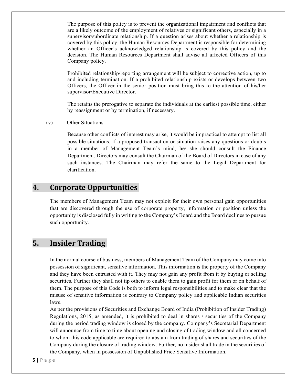The purpose of this policy is to prevent the organizational impairment and conflicts that are a likely outcome of the employment of relatives or significant others, especially in a supervisor/subordinate relationship. If a question arises about whether a relationship is covered by this policy, the Human Resources Department is responsible for determining whether an Officer's acknowledged relationship is covered by this policy and the decision. The Human Resources Department shall advise all affected Officers of this Company policy.

Prohibited relationship/reporting arrangement will be subject to corrective action, up to and including termination. If a prohibited relationship exists or develops between two Officers, the Officer in the senior position must bring this to the attention of his/her supervisor/Executive Director.

The retains the prerogative to separate the individuals at the earliest possible time, either by reassignment or by termination, if necessary.

(v) Other Situations

Because other conflicts of interest may arise, it would be impractical to attempt to list all possible situations. If a proposed transaction or situation raises any questions or doubts in a member of Management Team's mind, he/ she should consult the Finance Department. Directors may consult the Chairman of the Board of Directors in case of any such instances. The Chairman may refer the same to the Legal Department for clarification.

#### **4. Corporate Oppurtunities**

The members of Management Team may not exploit for their own personal gain opportunities that are discovered through the use of corporate property, information or position unless the opportunity is disclosed fully in writing to the Company's Board and the Board declines to pursue such opportunity.

#### **5. Insider Trading**

In the normal course of business, members of Management Team of the Company may come into possession of significant, sensitive information. This information is the property of the Company and they have been entrusted with it. They may not gain any profit from it by buying or selling securities. Further they shall not tip others to enable them to gain profit for them or on behalf of them. The purpose of this Code is both to inform legal responsibilities and to make clear that the misuse of sensitive information is contrary to Company policy and applicable Indian securities laws.

As per the provisions of Securities and Exchange Board of India (Prohibition of Insider Trading) Regulations, 2015, as amended, it is prohibited to deal in shares / securities of the Company during the period trading window is closed by the company. Company's Secretarial Department will announce from time to time about opening and closing of trading window and all concerned to whom this code applicable are required to abstain from trading of shares and securities of the Company during the closure of trading window. Further, no insider shall trade in the securities of the Company, when in possession of Unpublished Price Sensitive Information.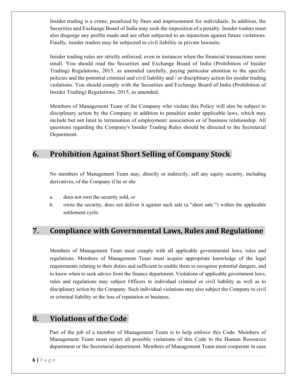Insider trading is a crime, penalized by fines and imprisonment for individuals. In addition, the Securities and Exchange Board of India may seek the imposition of a penalty. Insider traders must also disgorge any profits made and are often subjected to an injunction against future violations. Finally, insider traders may be subjected to civil liability in private lawsuits.

Insider trading rules are strictly enforced, even in instances when the financial transactions seem small. You should read the Securities and Exchange Board of India (Prohibition of Insider Trading) Regulations, 2015, as amended carefully, paying particular attention to the specific policies and the potential criminal and civil liability and / or disciplinary action for insider trading violations. You should comply with the Securities and Exchange Board of India (Prohibition of Insider Trading) Regulations, 2015, as amended.

Members of Management Team of the Company who violate this Policy will also be subject to disciplinary action by the Company in addition to penalties under applicable laws, which may include but not limit to termination of employment/ association or of business relationship. All questions regarding the Company's Insider Trading Rules should be directed to the Secretarial Department.

### **6. Prohibition Against Short Selling of Company Stock**

No members of Management Team may, directly or indirectly, sell any equity security, including derivatives, of the Company if he or she

- a. does not own the security sold, or
- b. owns the security, does not deliver it against such sale (a "short sale ") within the applicable settlement cycle.

## **7. Compliance with Governmental Laws, Rules and Regulatione**

Members of Management Team must comply with all applicable governmental laws, rules and regulations. Members of Management Team must acquire appropriate knowledge of the legal requirements relating to their duties and sufficient to enable them to recognize potential dangers, and to know when to seek advice from the finance department. Violations of applicable government laws, rules and regulations may subject Officers to individual criminal or civil liability as well as to disciplinary action by the Company. Such individual violations may also subject the Company to civil or criminal liability or the loss of reputation or business.

#### **8. Violations of the Code**

Part of the job of a member of Management Team is to help enforce this Code. Members of Management Team must report all possible violations of this Code to the Human Resources department or the Secretarial department. Members of Management Team must cooperate in case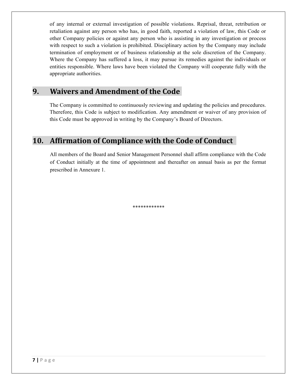of any internal or external investigation of possible violations. Reprisal, threat, retribution or retaliation against any person who has, in good faith, reported a violation of law, this Code or other Company policies or against any person who is assisting in any investigation or process with respect to such a violation is prohibited. Disciplinary action by the Company may include termination of employment or of business relationship at the sole discretion of the Company. Where the Company has suffered a loss, it may pursue its remedies against the individuals or entities responsible. Where laws have been violated the Company will cooperate fully with the appropriate authorities.

#### **9. Waivers and Amendment of the Code**

The Company is committed to continuously reviewing and updating the policies and procedures. Therefore, this Code is subject to modification. Any amendment or waiver of any provision of this Code must be approved in writing by the Company's Board of Directors.

### **10. Affirmation of Compliance with the Code of Conduct**

All members of the Board and Senior Management Personnel shall affirm compliance with the Code of Conduct initially at the time of appointment and thereafter on annual basis as per the format prescribed in Annexure 1.

\*\*\*\*\*\*\*\*\*\*\*\*